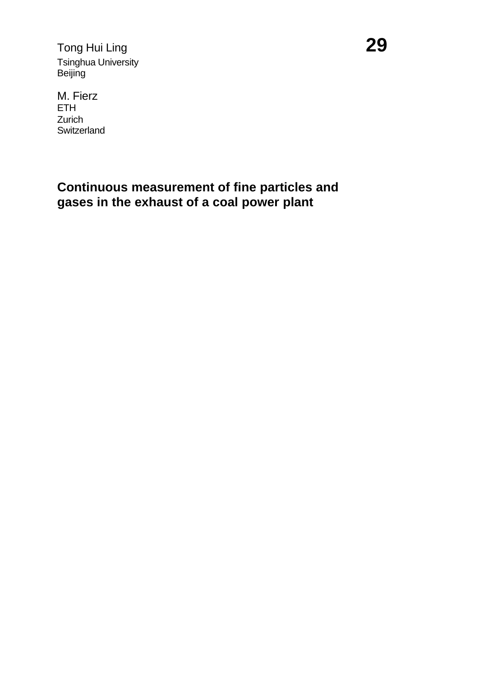Tong Hui Ling **29** Tsinghua University Beijing

M. Fierz ETH Zurich **Switzerland** 

# **Continuous measurement of fine particles and gases in the exhaust of a coal power plant**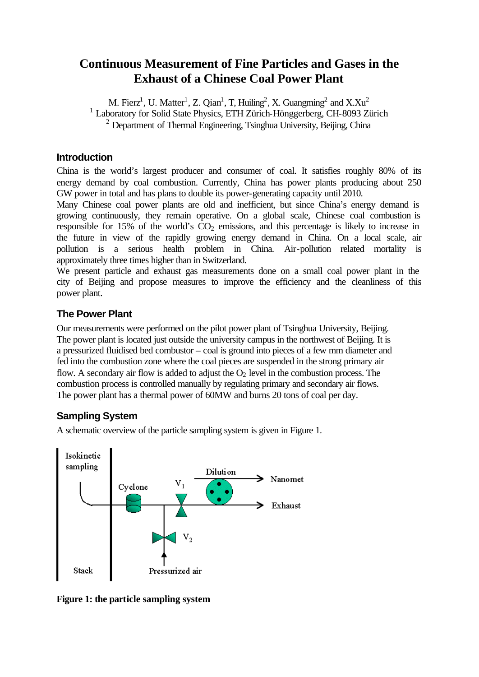## **Continuous Measurement of Fine Particles and Gases in the Exhaust of a Chinese Coal Power Plant**

M. Fierz<sup>1</sup>, U. Matter<sup>1</sup>, Z. Qian<sup>1</sup>, T, Huiling<sup>2</sup>, X. Guangming<sup>2</sup> and X.Xu<sup>2</sup> <sup>1</sup> Laboratory for Solid State Physics, ETH Zürich-Hönggerberg, CH-8093 Zürich <sup>2</sup> Department of Thermal Engineering, Tsinghua University, Beijing, China

### **Introduction**

China is the world's largest producer and consumer of coal. It satisfies roughly 80% of its energy demand by coal combustion. Currently, China has power plants producing about 250 GW power in total and has plans to double its power-generating capacity until 2010.

Many Chinese coal power plants are old and inefficient, but since China's energy demand is growing continuously, they remain operative. On a global scale, Chinese coal combustion is responsible for 15% of the world's  $CO<sub>2</sub>$  emissions, and this percentage is likely to increase in the future in view of the rapidly growing energy demand in China. On a local scale, air pollution is a serious health problem in China. Air-pollution related mortality is approximately three times higher than in Switzerland.

We present particle and exhaust gas measurements done on a small coal power plant in the city of Beijing and propose measures to improve the efficiency and the cleanliness of this power plant.

### **The Power Plant**

Our measurements were performed on the pilot power plant of Tsinghua University, Beijing. The power plant is located just outside the university campus in the northwest of Beijing. It is a pressurized fluidised bed combustor – coal is ground into pieces of a few mm diameter and fed into the combustion zone where the coal pieces are suspended in the strong primary air flow. A secondary air flow is added to adjust the  $O_2$  level in the combustion process. The combustion process is controlled manually by regulating primary and secondary air flows. The power plant has a thermal power of 60MW and burns 20 tons of coal per day.

### **Sampling System**

A schematic overview of the particle sampling system is given in Figure 1.



**Figure 1: the particle sampling system**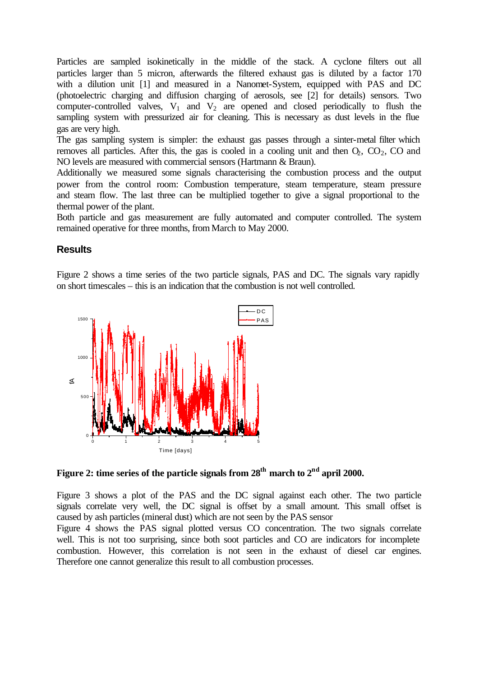Particles are sampled isokinetically in the middle of the stack. A cyclone filters out all particles larger than 5 micron, afterwards the filtered exhaust gas is diluted by a factor 170 with a dilution unit [1] and measured in a Nanomet-System, equipped with PAS and DC (photoelectric charging and diffusion charging of aerosols, see [2] for details) sensors. Two computer-controlled valves,  $V_1$  and  $V_2$  are opened and closed periodically to flush the sampling system with pressurized air for cleaning. This is necessary as dust levels in the flue gas are very high.

The gas sampling system is simpler: the exhaust gas passes through a sinter-metal filter which removes all particles. After this, the gas is cooled in a cooling unit and then  $O_2$ ,  $CO_2$ ,  $CO$  and NO levels are measured with commercial sensors (Hartmann & Braun).

Additionally we measured some signals characterising the combustion process and the output power from the control room: Combustion temperature, steam temperature, steam pressure and steam flow. The last three can be multiplied together to give a signal proportional to the thermal power of the plant.

Both particle and gas measurement are fully automated and computer controlled. The system remained operative for three months, from March to May 2000.

#### **Results**

Figure 2 shows a time series of the two particle signals, PAS and DC. The signals vary rapidly on short timescales – this is an indication that the combustion is not well controlled.



**Figure 2: time series of the particle signals from 28th march to 2nd april 2000.**

Figure 3 shows a plot of the PAS and the DC signal against each other. The two particle signals correlate very well, the DC signal is offset by a small amount. This small offset is caused by ash particles (mineral dust) which are not seen by the PAS sensor

Figure 4 shows the PAS signal plotted versus CO concentration. The two signals correlate well. This is not too surprising, since both soot particles and CO are indicators for incomplete combustion. However, this correlation is not seen in the exhaust of diesel car engines. Therefore one cannot generalize this result to all combustion processes.